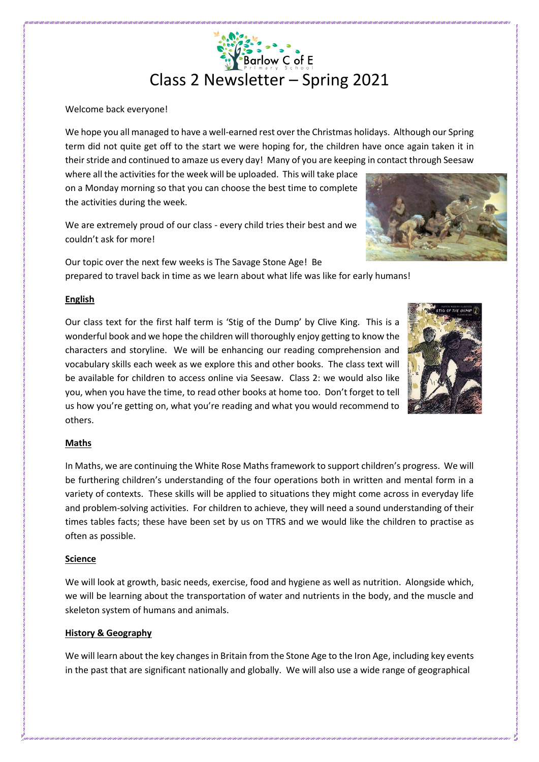# Barlow C of E Class 2 Newsletter – Spring 2021

#### Welcome back everyone!

We hope you all managed to have a well-earned rest over the Christmas holidays. Although our Spring term did not quite get off to the start we were hoping for, the children have once again taken it in their stride and continued to amaze us every day! Many of you are keeping in contact through Seesaw

where all the activities for the week will be uploaded. This will take place on a Monday morning so that you can choose the best time to complete the activities during the week.

We are extremely proud of our class - every child tries their best and we couldn't ask for more!

Our topic over the next few weeks is The Savage Stone Age! Be prepared to travel back in time as we learn about what life was like for early humans!

## **English**

Our class text for the first half term is 'Stig of the Dump' by Clive King. This is a wonderful book and we hope the children will thoroughly enjoy getting to know the characters and storyline. We will be enhancing our reading comprehension and vocabulary skills each week as we explore this and other books. The class text will be available for children to access online via Seesaw. Class 2: we would also like you, when you have the time, to read other books at home too. Don't forget to tell us how you're getting on, what you're reading and what you would recommend to others.

# **Maths**

In Maths, we are continuing the White Rose Maths framework to support children's progress. We will be furthering children's understanding of the four operations both in written and mental form in a variety of contexts. These skills will be applied to situations they might come across in everyday life and problem-solving activities. For children to achieve, they will need a sound understanding of their times tables facts; these have been set by us on TTRS and we would like the children to practise as often as possible.

# **Science**

We will look at growth, basic needs, exercise, food and hygiene as well as nutrition. Alongside which, we will be learning about the transportation of water and nutrients in the body, and the muscle and skeleton system of humans and animals.

# **History & Geography**

We will learn about the key changes in Britain from the Stone Age to the Iron Age, including key events in the past that are significant nationally and globally. We will also use a wide range of geographical



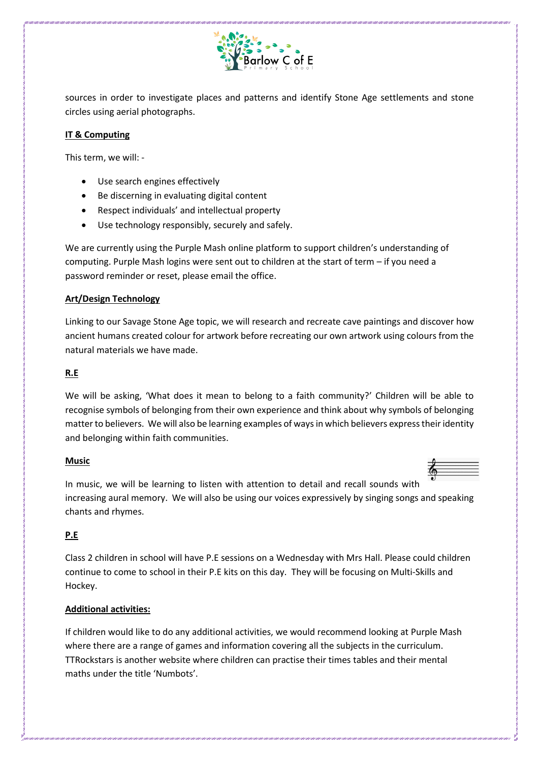

sources in order to investigate places and patterns and identify Stone Age settlements and stone circles using aerial photographs.

#### **IT & Computing**

This term, we will: -

- Use search engines effectively
- Be discerning in evaluating digital content
- Respect individuals' and intellectual property
- Use technology responsibly, securely and safely.

We are currently using the Purple Mash online platform to support children's understanding of computing. Purple Mash logins were sent out to children at the start of term – if you need a password reminder or reset, please email the office.

# **Art/Design Technology**

Linking to our Savage Stone Age topic, we will research and recreate cave paintings and discover how ancient humans created colour for artwork before recreating our own artwork using colours from the natural materials we have made.

## **R.E**

We will be asking, 'What does it mean to belong to a faith community?' Children will be able to recognise symbols of belonging from their own experience and think about why symbols of belonging matter to believers. We will also be learning examples of ways in which believers express their identity and belonging within faith communities.

#### **Music**



In music, we will be learning to listen with attention to detail and recall sounds with increasing aural memory. We will also be using our voices expressively by singing songs and speaking chants and rhymes.

# **P.E**

Class 2 children in school will have P.E sessions on a Wednesday with Mrs Hall. Please could children continue to come to school in their P.E kits on this day. They will be focusing on Multi-Skills and Hockey.

# **Additional activities:**

If children would like to do any additional activities, we would recommend looking at Purple Mash where there are a range of games and information covering all the subjects in the curriculum. TTRockstars is another website where children can practise their times tables and their mental maths under the title 'Numbots'.